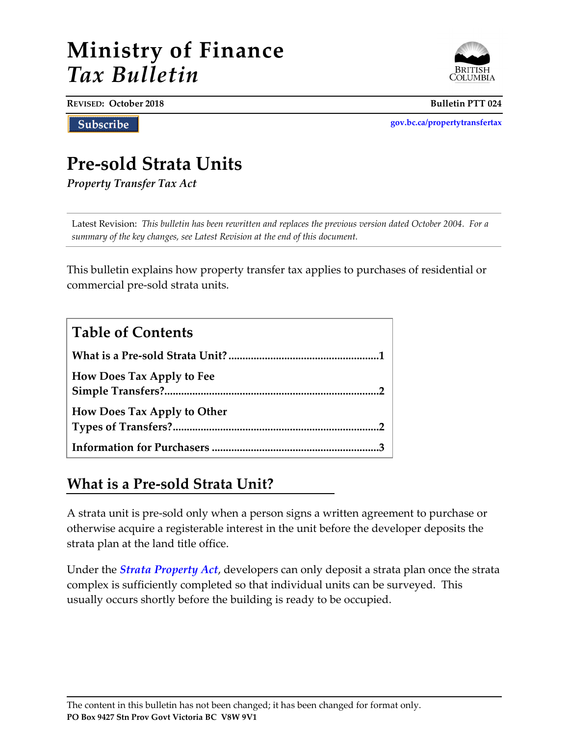# **Ministry of Finance** *Tax Bulletin*



**REVISED: October 2018 Bulletin PTT 024**

Subscribe

**[gov.bc.ca/propertytransfertax](http://www.gov.bc.ca/propertytransfertax)**

# **Pre-sold Strata Units**

*Property Transfer Tax Act*

Latest Revision:*This bulletin has been rewritten and replaces the previous version dated October 2004. For a summary of the key changes, see Latest Revision at the end of this document.*

This bulletin explains how property transfer tax applies to purchases of residential or commercial pre-sold strata units.

| <b>Table of Contents</b>           |
|------------------------------------|
|                                    |
| <b>How Does Tax Apply to Fee</b>   |
| <b>How Does Tax Apply to Other</b> |
|                                    |

## **What is a Pre-sold Strata Unit?**

A strata unit is pre-sold only when a person signs a written agreement to purchase or otherwise acquire a registerable interest in the unit before the developer deposits the strata plan at the land title office.

Under the *[Strata Property Act](http://www.bclaws.ca/EPLibraries/bclaws_new/document/ID/freeside/98043_00)*, developers can only deposit a strata plan once the strata complex is sufficiently completed so that individual units can be surveyed. This usually occurs shortly before the building is ready to be occupied.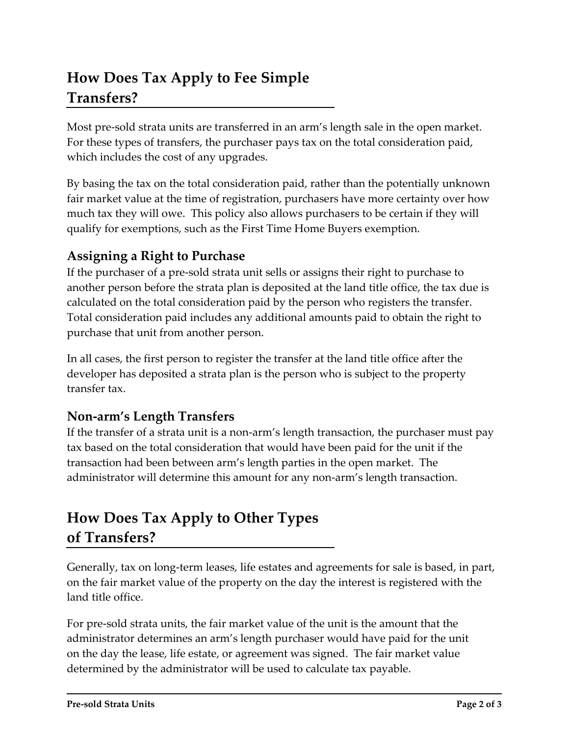# **How Does Tax Apply to Fee Simple Transfers?**

Most pre-sold strata units are transferred in an arm's length sale in the open market. For these types of transfers, the purchaser pays tax on the total consideration paid, which includes the cost of any upgrades.

By basing the tax on the total consideration paid, rather than the potentially unknown fair market value at the time of registration, purchasers have more certainty over how much tax they will owe. This policy also allows purchasers to be certain if they will qualify for exemptions, such as the First Time Home Buyers exemption.

### **Assigning a Right to Purchase**

If the purchaser of a pre-sold strata unit sells or assigns their right to purchase to another person before the strata plan is deposited at the land title office, the tax due is calculated on the total consideration paid by the person who registers the transfer. Total consideration paid includes any additional amounts paid to obtain the right to purchase that unit from another person.

In all cases, the first person to register the transfer at the land title office after the developer has deposited a strata plan is the person who is subject to the property transfer tax.

### **Non-arm's Length Transfers**

If the transfer of a strata unit is a non-arm's length transaction, the purchaser must pay tax based on the total consideration that would have been paid for the unit if the transaction had been between arm's length parties in the open market. The administrator will determine this amount for any non-arm's length transaction.

# **How Does Tax Apply to Other Types of Transfers?**

Generally, tax on long-term leases, life estates and agreements for sale is based, in part, on the fair market value of the property on the day the interest is registered with the land title office.

For pre-sold strata units, the fair market value of the unit is the amount that the administrator determines an arm's length purchaser would have paid for the unit on the day the lease, life estate, or agreement was signed. The fair market value determined by the administrator will be used to calculate tax payable.